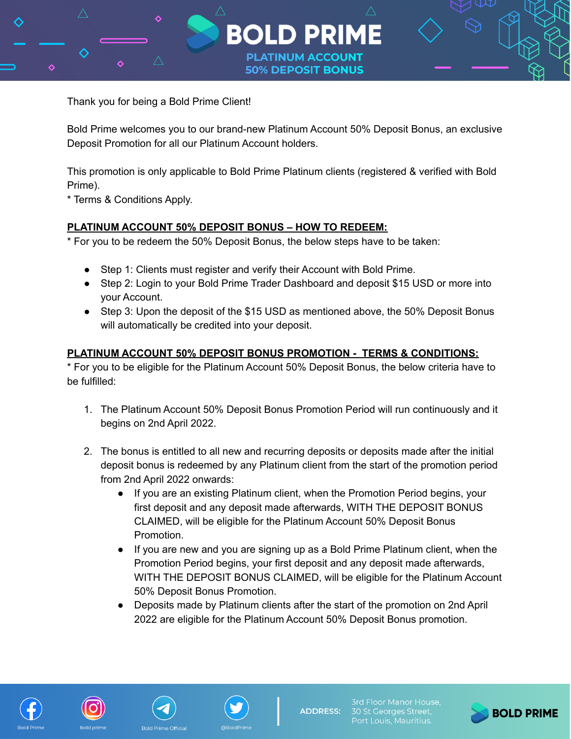

Thank you for being a Bold Prime Client!

Bold Prime welcomes you to our brand-new Platinum Account 50% Deposit Bonus, an exclusive Deposit Promotion for all our Platinum Account holders.

This promotion is only applicable to Bold Prime Platinum clients (registered & verified with Bold Prime).

\* Terms & Conditions Apply.

## **PLATINUM ACCOUNT 50% DEPOSIT BONUS – HOW TO REDEEM:**

\* For you to be redeem the 50% Deposit Bonus, the below steps have to be taken:

- Step 1: Clients must register and verify their Account with Bold Prime.
- Step 2: Login to your Bold Prime Trader Dashboard and deposit \$15 USD or more into your Account.
- Step 3: Upon the deposit of the \$15 USD as mentioned above, the 50% Deposit Bonus will automatically be credited into your deposit.

## **PLATINUM ACCOUNT 50% DEPOSIT BONUS PROMOTION - TERMS & CONDITIONS:**

\* For you to be eligible for the Platinum Account 50% Deposit Bonus, the below criteria have to be fulfilled:

- 1. The Platinum Account 50% Deposit Bonus Promotion Period will run continuously and it begins on 2nd April 2022.
- 2. The bonus is entitled to all new and recurring deposits or deposits made after the initial deposit bonus is redeemed by any Platinum client from the start of the promotion period from 2nd April 2022 onwards:
	- If you are an existing Platinum client, when the Promotion Period begins, your first deposit and any deposit made afterwards, WITH THE DEPOSIT BONUS CLAIMED, will be eligible for the Platinum Account 50% Deposit Bonus Promotion.
	- If you are new and you are signing up as a Bold Prime Platinum client, when the Promotion Period begins, your first deposit and any deposit made afterwards, WITH THE DEPOSIT BONUS CLAIMED, will be eligible for the Platinum Account 50% Deposit Bonus Promotion.
	- Deposits made by Platinum clients after the start of the promotion on 2nd April 2022 are eligible for the Platinum Account 50% Deposit Bonus promotion.







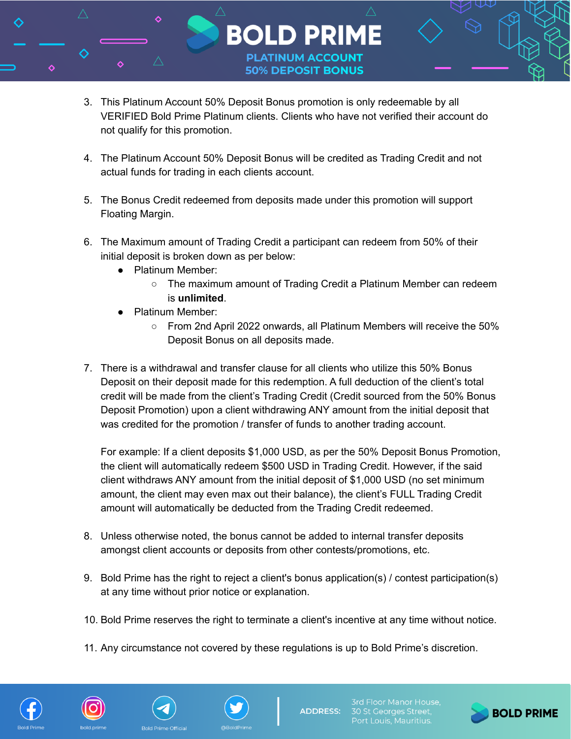

**PLATINUM ACCOUNT 50% DEPOSIT BONUS** 

- 4. The Platinum Account 50% Deposit Bonus will be credited as Trading Credit and not actual funds for trading in each clients account.
- 5. The Bonus Credit redeemed from deposits made under this promotion will support Floating Margin.
- 6. The Maximum amount of Trading Credit a participant can redeem from 50% of their initial deposit is broken down as per below:
	- Platinum Member:
		- The maximum amount of Trading Credit a Platinum Member can redeem is **unlimited**.
	- Platinum Member:
		- From 2nd April 2022 onwards, all Platinum Members will receive the 50% Deposit Bonus on all deposits made.
- 7. There is a withdrawal and transfer clause for all clients who utilize this 50% Bonus Deposit on their deposit made for this redemption. A full deduction of the client's total credit will be made from the client's Trading Credit (Credit sourced from the 50% Bonus Deposit Promotion) upon a client withdrawing ANY amount from the initial deposit that was credited for the promotion / transfer of funds to another trading account.

For example: If a client deposits \$1,000 USD, as per the 50% Deposit Bonus Promotion, the client will automatically redeem \$500 USD in Trading Credit. However, if the said client withdraws ANY amount from the initial deposit of \$1,000 USD (no set minimum amount, the client may even max out their balance), the client's FULL Trading Credit amount will automatically be deducted from the Trading Credit redeemed.

- 8. Unless otherwise noted, the bonus cannot be added to internal transfer deposits amongst client accounts or deposits from other contests/promotions, etc.
- 9. Bold Prime has the right to reject a client's bonus application(s) / contest participation(s) at any time without prior notice or explanation.
- 10. Bold Prime reserves the right to terminate a client's incentive at any time without notice.
- 11. Any circumstance not covered by these regulations is up to Bold Prime's discretion.









3rd Floor Manor House, 30 St Georges Street,